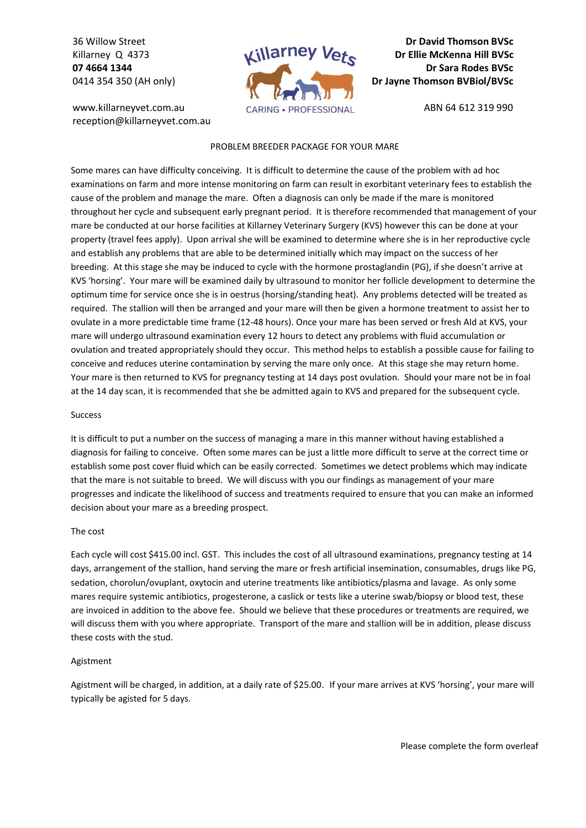36 Willow Street Killarney Q 4373 **07 4664 1344** 0414 354 350 (AH only)

www.killarneyvet.com.au reception@killarneyvet.com.au



**Dr David Thomson BVSc Dr Ellie McKenna Hill BVSc Dr Sara Rodes BVSc Dr Jayne Thomson BVBiol/BVSc**

ABN 64 612 319 990

# PROBLEM BREEDER PACKAGE FOR YOUR MARE

Some mares can have difficulty conceiving. It is difficult to determine the cause of the problem with ad hoc examinations on farm and more intense monitoring on farm can result in exorbitant veterinary fees to establish the cause of the problem and manage the mare. Often a diagnosis can only be made if the mare is monitored throughout her cycle and subsequent early pregnant period. It is therefore recommended that management of your mare be conducted at our horse facilities at Killarney Veterinary Surgery (KVS) however this can be done at your property (travel fees apply). Upon arrival she will be examined to determine where she is in her reproductive cycle and establish any problems that are able to be determined initially which may impact on the success of her breeding. At this stage she may be induced to cycle with the hormone prostaglandin (PG), if she doesn't arrive at KVS 'horsing'. Your mare will be examined daily by ultrasound to monitor her follicle development to determine the optimum time for service once she is in oestrus (horsing/standing heat). Any problems detected will be treated as required. The stallion will then be arranged and your mare will then be given a hormone treatment to assist her to ovulate in a more predictable time frame (12-48 hours). Once your mare has been served or fresh AId at KVS, your mare will undergo ultrasound examination every 12 hours to detect any problems with fluid accumulation or ovulation and treated appropriately should they occur. This method helps to establish a possible cause for failing to conceive and reduces uterine contamination by serving the mare only once. At this stage she may return home. Your mare is then returned to KVS for pregnancy testing at 14 days post ovulation. Should your mare not be in foal at the 14 day scan, it is recommended that she be admitted again to KVS and prepared for the subsequent cycle.

#### Success

It is difficult to put a number on the success of managing a mare in this manner without having established a diagnosis for failing to conceive. Often some mares can be just a little more difficult to serve at the correct time or establish some post cover fluid which can be easily corrected. Sometimes we detect problems which may indicate that the mare is not suitable to breed. We will discuss with you our findings as management of your mare progresses and indicate the likelihood of success and treatments required to ensure that you can make an informed decision about your mare as a breeding prospect.

# The cost

Each cycle will cost \$415.00 incl. GST. This includes the cost of all ultrasound examinations, pregnancy testing at 14 days, arrangement of the stallion, hand serving the mare or fresh artificial insemination, consumables, drugs like PG, sedation, chorolun/ovuplant, oxytocin and uterine treatments like antibiotics/plasma and lavage. As only some mares require systemic antibiotics, progesterone, a caslick or tests like a uterine swab/biopsy or blood test, these are invoiced in addition to the above fee. Should we believe that these procedures or treatments are required, we will discuss them with you where appropriate. Transport of the mare and stallion will be in addition, please discuss these costs with the stud.

# Agistment

Agistment will be charged, in addition, at a daily rate of \$25.00. If your mare arrives at KVS 'horsing', your mare will typically be agisted for 5 days.